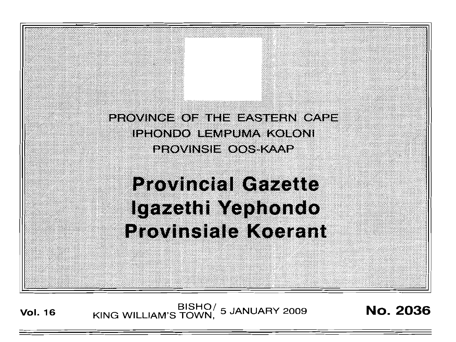PROVINGE OF THE EASTERN CAPE **IPHONDO LEMPUMA KOLONI PROVINSIE OOS-KAAP** 

**Provincial Gazette** Igazethi Yephondo **Provinsiale Koerant** 

**Vol. <sup>16</sup>** BISHO/ KING WILLIAM'S TOWN , <sup>5</sup> JANUARY <sup>2009</sup> No. 2036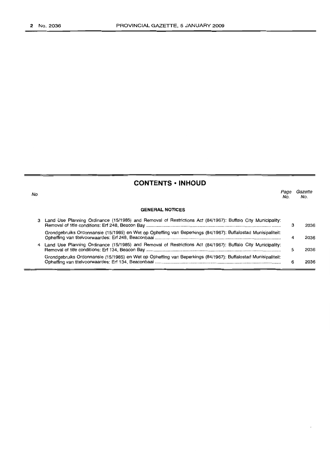|  | ۰. | ۰. | ۰. |
|--|----|----|----|

# **CONTENTS • INHOUD**

**GENERAL NOTICES** Page Gazette<br>No. No. No. No. 3 Land Use Planning Ordinance (15/1985) and Removal of Restrictions Act (84/1967): Buffalo City Municipality: Removal of title conditions: Erf 248, Beacon Bay . Grondgebruiks Ordonnansie (15/1985) en Wet op Opheffing van Beperkings (84/1967): Buffalostad Munisipaliteit: Opheffing van titelvoorwaardes: Erf 248, Beaconbaai .. 4 Land Use Planning Ordinance (15/1985) and Removal of Restrictions Act (84/1967): Buffalo City Municipality: 3 4 5 2036 2036 2036

Removal of title conditions: Erf 134, Beacon Bay . Grondgebruiks Ordonnansie (15/1985) en Wet op Opheffing van Beperkings (84/1967): Buffalostad Munisipaliteit: Opheffing van litelvoorwaardes: Erf 134, Beaconbaai .. 6 2036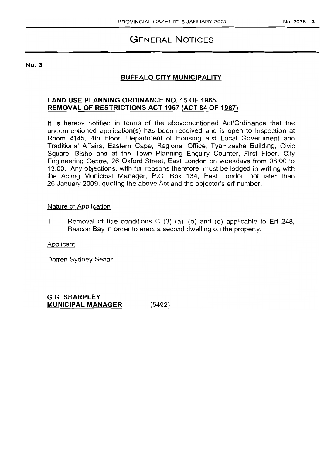# GENERAL NOTICES

#### No.3

# BUFFALO CITY MUNICIPALITY

# LAND USE PLANNING ORDINANCE NO. 15 OF 1985, REMOVAL OF RESTRICTIONS ACT 1967 (ACT 84 OF 1967)

It is hereby notified in terms of the abovementioned Act/Ordinance that the undermentioned application(s) has been received and is open to inspection at Room 4145, 4th Floor, Department of Housing and Local Government and Traditional Affairs, Eastern Cape, Regional Office, Tyamzashe Building, Civic Square, Bisho and at the Town Planning. Enquiry Counter, First Floor, City Engineering Centre, 26 Oxford Street, East London on weekdays from 08:00 to 13:00. Any objections, with full reasons therefore, must be lodged in writing with the Acting Municipal Manager, P.O. Box 134, East London not later than 26 January 2009, quoting the above Act and the objector's erf number.

### Nature of Application

1. Removal of title conditions C  $(3)$   $(a)$ ,  $(b)$  and  $(d)$  applicable to Erf 248, Beacon Bay in order to erect a second dwelling on the property.

Applicant

Darren Sydney Senar

G.G. SHARPLEY MUNICIPAL MANAGER (5492)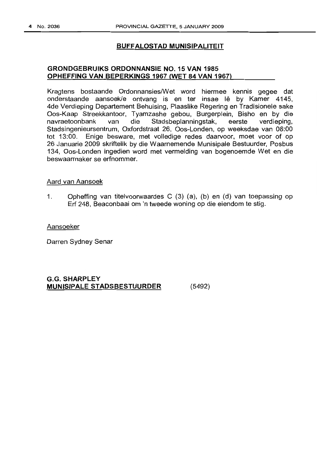#### **BUFFALOSTAD MUNISIPALITEIT**

### **GRONDGEBRUIKS ORDONNANSIE NO. 15 VAN 1985 OPHEFFING VAN BEPERKINGS 1967 (WET 84 VAN 1967)**

Kragtens bostaande Ordonnansies/Wet word hiermee kennis gegee dat onderstaande aansoek/e ontvang is en ter insae lê by Kamer 4145, 4de Verdieping Departement Behuising, Plaaslike Regering en Tradisionele sake Oos-Kaap Streekkantoor, Tyamzashe gebou, Burgerplein, Bisho en by die navraetoonbank van die Stadsbeplanningstak, eerste verdieping, Stadsingenieursentrum, Oxfordstraat 26, Oos-Londen, op weeksdae van 08:00 tot 13:00. Enige besware, met volledige redes daarvoor, moet voor of op 26 Januarie 2009 skriftelik by die Waarnemende Munisipale Bestuurder, Posbus 134, Oos-Londen ingedien word met vermelding van bogenoemde Wet en die beswaarmaker se erfnommer.

#### Aard van Aansoek

1. Opheffing van titelvoorwaardes C (3) (a), (b) en (d) van toepassing op Erf 248, Beaconbaai om 'n tweede woning op die eiendom te stig.

Aansoeker

Darren Sydney Senar

#### **G.G. SHARPLEY MUNISIPALE STADSBESTUURDER** (5492)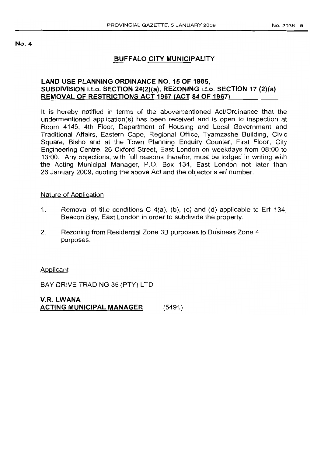#### No.4

# BUFFALO CITY MUNICIPALITY

# LAND USE PLANNING ORDINANCE NO. 15 OF 1985, SUBDIVISION l.t.o. SECTION 24(2)(a), REZONING l.t.o. SECTION 17 (2)(a) REMOVAL OF RESTRICTIONS ACT 1967 (ACT 84 OF 1967)

It is hereby notified in terms of the abovementioned Act/Ordinance that the undermentioned application(s) has been received and is open to inspection at Room 4145, 4th Floor, Department of Housing and Local Government and Traditional Affairs, Eastern Cape, Regional Office, Tyamzashe Building, Civic Square, Bisho and at the Town Planning Enquiry Counter, First Floor, City Engineering Centre, 26 Oxford Street, East London on weekdays from 08:00 to 13:00. Any objections, with full reasons therefor, must be lodged in writing with the Acting Municipal Manager, P.O. Box 134, East London not later than 26 January 2009, quoting the above Act and the objector's erf number.

### Nature of Application

- 1. Removal of title conditions C 4(a), (b), (c) and (d) applicable to Erf 134, Beacon Bay, East London in order to subdivide the property.
- 2. Rezoning from Residential Zone 3B purposes to Business Zone 4 purposes.

### Applicant

BAY DRIVE TRADING 35 (PTY) LTD

V.R. LWANA ACTING MUNICIPAL MANAGER (5491 )